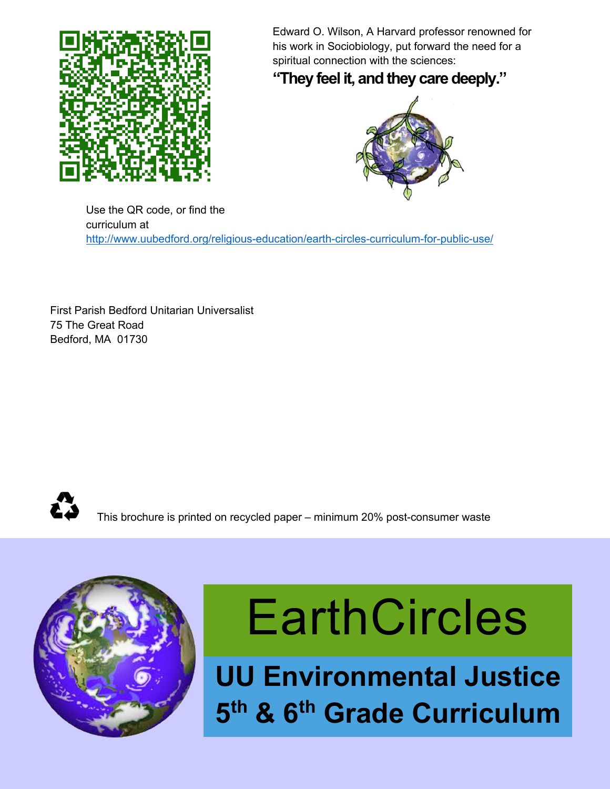

Edward O. Wilson, A Harvard professor renowned for his work in Sociobiology, put forward the need for a spiritual connection with the sciences:

## **"They feel it, and they care deeply."**



Use the QR code, or find the curriculum at http://www.uubedford.org/religious-education/earth-circles-curriculum-for-public-use/

First Parish Bedford Unitarian Universalist 75 The Great Road Bedford, MA 01730



This brochure is printed on recycled paper – minimum 20% post-consumer waste



## **EarthCircles**

**UU Environmental Justice 5<sup>th</sup> & 6<sup>th</sup> Grade Curriculum UU Environmental Justice**